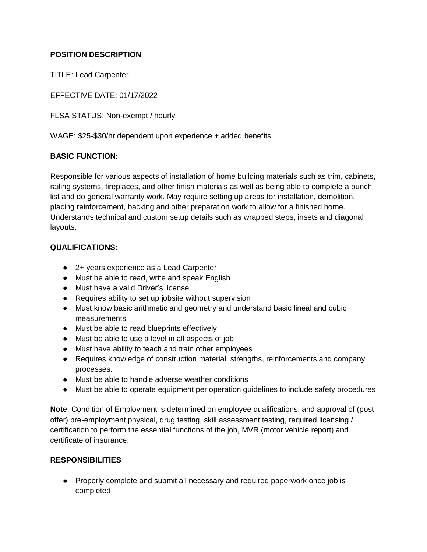## **POSITION DESCRIPTION**

TITLE: Lead Carpenter

EFFECTIVE DATE: 01/17/2022

FLSA STATUS: Non-exempt / hourly

WAGE: \$25-\$30/hr dependent upon experience + added benefits

## **BASIC FUNCTION:**

Responsible for various aspects of installation of home building materials such as trim, cabinets, railing systems, fireplaces, and other finish materials as well as being able to complete a punch list and do general warranty work. May require setting up areas for installation, demolition, placing reinforcement, backing and other preparation work to allow for a finished home. Understands technical and custom setup details such as wrapped steps, insets and diagonal layouts.

## **QUALIFICATIONS:**

- 2+ years experience as a Lead Carpenter
- Must be able to read, write and speak English
- Must have a valid Driver's license
- Requires ability to set up jobsite without supervision
- Must know basic arithmetic and geometry and understand basic lineal and cubic measurements
- Must be able to read blueprints effectively
- Must be able to use a level in all aspects of job
- Must have ability to teach and train other employees
- Requires knowledge of construction material, strengths, reinforcements and company processes.
- Must be able to handle adverse weather conditions
- Must be able to operate equipment per operation guidelines to include safety procedures

**Note**: Condition of Employment is determined on employee qualifications, and approval of (post offer) pre-employment physical, drug testing, skill assessment testing, required licensing / certification to perform the essential functions of the job, MVR (motor vehicle report) and certificate of insurance.

## **RESPONSIBILITIES**

• Properly complete and submit all necessary and required paperwork once job is completed